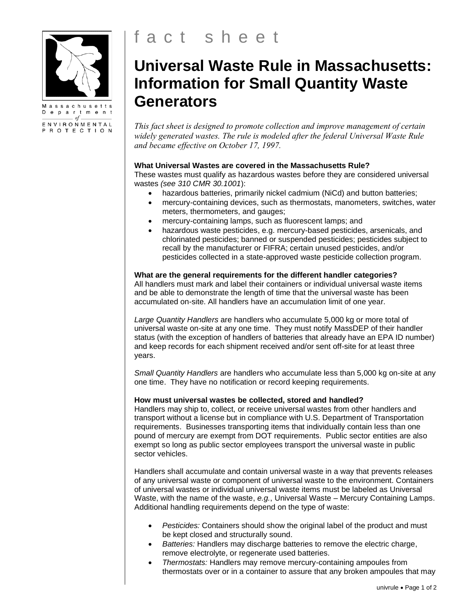

 $of.$ ENVIRONMENTAL PROTECTION

# **Universal Waste Rule in Massachusetts: Information for Small Quantity Waste Generators**

*This fact sheet is designed to promote collection and improve management of certain widely generated wastes. The rule is modeled after the federal Universal Waste Rule and became effective on October 17, 1997.*

## **What Universal Wastes are covered in the Massachusetts Rule?**

These wastes must qualify as hazardous wastes before they are considered universal wastes *(see 310 CMR 30.1001*):

- hazardous batteries, primarily nickel cadmium (NiCd) and button batteries;
- mercury-containing devices, such as thermostats, manometers, switches, water meters, thermometers, and gauges;
- mercury-containing lamps, such as fluorescent lamps; and
- hazardous waste pesticides, e.g. mercury-based pesticides, arsenicals, and chlorinated pesticides; banned or suspended pesticides; pesticides subject to recall by the manufacturer or FIFRA; certain unused pesticides, and/or pesticides collected in a state-approved waste pesticide collection program.

# **What are the general requirements for the different handler categories?**

All handlers must mark and label their containers or individual universal waste items and be able to demonstrate the length of time that the universal waste has been accumulated on-site. All handlers have an accumulation limit of one year.

*Large Quantity Handlers* are handlers who accumulate 5,000 kg or more total of universal waste on-site at any one time. They must notify MassDEP of their handler status (with the exception of handlers of batteries that already have an EPA ID number) and keep records for each shipment received and/or sent off-site for at least three years.

*Small Quantity Handlers* are handlers who accumulate less than 5,000 kg on-site at any one time. They have no notification or record keeping requirements.

### **How must universal wastes be collected, stored and handled?**

Handlers may ship to, collect, or receive universal wastes from other handlers and transport without a license but in compliance with U.S. Department of Transportation requirements. Businesses transporting items that individually contain less than one pound of mercury are exempt from DOT requirements. Public sector entities are also exempt so long as public sector employees transport the universal waste in public sector vehicles.

Handlers shall accumulate and contain universal waste in a way that prevents releases of any universal waste or component of universal waste to the environment. Containers of universal wastes or individual universal waste items must be labeled as Universal Waste, with the name of the waste, *e.g.*, Universal Waste – Mercury Containing Lamps. Additional handling requirements depend on the type of waste:

- *Pesticides:* Containers should show the original label of the product and must be kept closed and structurally sound.
- *Batteries:* Handlers may discharge batteries to remove the electric charge, remove electrolyte, or regenerate used batteries.
- *Thermostats:* Handlers may remove mercury-containing ampoules from thermostats over or in a container to assure that any broken ampoules that may